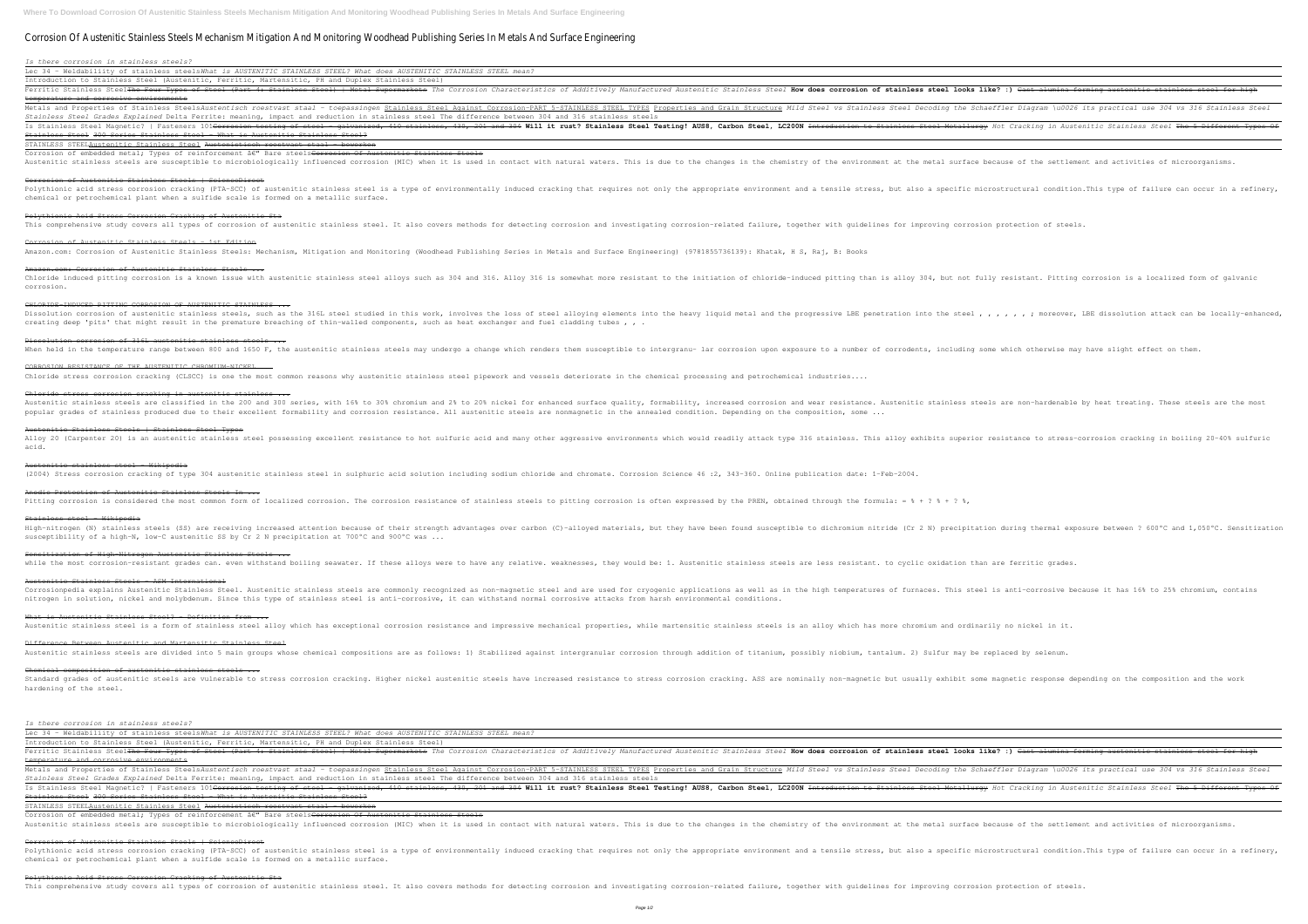# Corrosion Of Austenitic Stainless Steels Mechanism Mitigation And Monitoring Woodhead Publishing Series In Metals And Surface Engineering

*Is there corrosion in stainless steels?*

Lec 34 - Weldabiliity of stainless steels*What is AUSTENITIC STAINLESS STEEL? What does AUSTENITIC STAINLESS STEEL mean?*

Introduction to Stainless Steel (Austenitic, Ferritic, Martensitic, PH and Duplex Stainless Steel) Ferritic Stainless Steel<del>The Four Types of Steel (Part 4: Stainless Steel) | Metal Supermarkets</del> The Corrosion Characteristics of Additively Manufactured Austenitic Stainless **steel looks like? :)** <del>Cast alumina forming au</del> temperature and corrosive environments Metals and Properties of Stainless SteelsAustentisch roestvast staal - toepassingen <u>Stainless Steel Against Corrosion-PART 5-STAINLESS STEEL TYPES Properties and Grain Structure Mild Steel Decoding the Schaeffler Diagram </u> *Stainless Steel Grades Explained* Delta Ferrite: meaning, impact and reduction in stainless steel The difference between 304 and 316 stainless steels Is Stainless Steel Magnetic? | Fasteners 101<del>Corrosion testing of steel - galvanized, 410 stainless, 430, 201 and 304</del> Will it rust? Stainless Steel Metallurgy Hot Cracking in Austenitic Stainless Steel The 5 Different Typ Stainless Steel 300 Series Stainless Steel - What is Austenitic Stainless Steel? STAINLESS STEELAustenitic Stainless Steel Austenistisch roestvast staal - bewerken

Corrosion of embedded metal; Types of reinforcement â€" Bare steels<del>Corrosion Of Austenitic Stainless Steels</del> Austenitic stainless steels are susceptible to microbiologically influenced corrosion (MIC) when it is used in contact with natural waters. This is due to the environment at the metal surface because of the settlement and

Polythionic acid stress corrosion cracking (PTA-SCC) of austenitic stainless steel is a type of environmentally induced cracking that requires not only the appropriate environmentally induced cracking that requires not onl chemical or petrochemical plant when a sulfide scale is formed on a metallic surface.

corrosion. CHLORIDE-INDUCED PITTING CORROSION OF AUSTENITIC STAINLESS ...

Dissolution corrosion of austenitic stainless steels, such as the 316L steel studied in this work, involves the loss of steel alloying elements into the heavy liquid metal and the progressive LBE penetration into the steel , , , , , , ; moreover, LBE dissolution attack can be locally-enhanced, creating deep 'pits' that might result in the premature breaching of thin-walled components, such as heat exchanger and fuel cladding tubes,,,

Dissolution corrosion of 316L austenitic stainless steels ... When held in the temperature range between 800 and 1650 F, the austenitic stainless steels may undergo a change which renders them susceptible to a number of corrodents, including some which otherwise may have slight effec

CORROSION RESISTANCE OF THE AUSTENITIC CHROMIUM-NICKEL ... Chloride stress corrosion cracking (CLSCC) is one the most common reasons why austenitic stainless steel pipework and vessels deteriorate in the chemical processing and petrochemical industries....

Chloride stress corrosion cracking in austenitic stainless ... Austenitic stainless steels are classified in the 200 and 300 series, with 16% to 30% chromium and 2% to 20% nickel for enhanced surface quality, formability, increased corrosion and wear resistance. Austenitic stainless s popular grades of stainless produced due to their excellent formability and corrosion resistance. All austenitic steels are nonmagnetic in the annealed condition. Depending on the composition, some ...

Corrosion of Austenitic Stainless Steels | ScienceDirect

Polythionic Acid Stress Corrosion Cracking of Austenitic Sta

This comprehensive study covers all types of corrosion of austenitic stainless steel. It also covers methods for detecting corrosion-related failure, together with guidelines for improving corrosion protection of steels.

Corrosion of Austenitic Stainless Steels - 1st Edition Amazon.com: Corrosion of Austenitic Stainless Steels: Mechanism, Mitigation and Monitoring (Woodhead Publishing Series in Metals and Surface Engineering) (9781855736139): Khatak, H S, Raj, B: Books

Amazon.com: Corrosion of Austenitic Stainless Steels ... Chloride induced pitting corrosion is a known issue with austenitic stainless steel alloys such as 304 and 316. Alloy 316 is somewhat more resistant to the initiation of chloride-induced pitting than is alloy 304, but not

Austenitic Stainless Steels - ASM International Corrosionpedia explains Austenitic Stainless Steel. Austenitic stainless steels are commonly recognized as non-magnetic steel and are used for cryogenic applications as well as in the high temperatures of furnaces. This st nitrogen in solution, nickel and molybdenum. Since this type of stainless steel is anti-corrosive, it can withstand normal corrosive attacks from harsh environmental conditions.

What is Austenitic Stainless Steel? - Definition from ... Austenitic stainless steel is a form of stainless steel alloy which has exceptional corrosion resistance and impressive mechanical properties, while martensitic stainless steels is an alloy which has more chromium and ordi

Difference Between Austenitic and Martensitic Stainless Steel Austenitic stainless steels are divided into 5 main groups whose chemical compositions are as follows: 1) Stabilized against intergranular corrosion through addition of titanium, possibly niobium, tantalum. 2) Sulfur may b

Chemical composition of austenitic stainless steels ... Standard grades of austenitic steels are vulnerable to stress corrosion cracking. Higher nickel austenitic steels have increased resistance to stress corrosion cracking. ASS are nominally non-magnetic but usually exhibit s hardening of the steel.

Polythionic acid stress corrosion cracking (PTA-SCC) of austenitic stainless steel is a type of environmentally induced cracking that requires not only the appropriate environmentally induced cracking that requires not onl chemical or petrochemical plant when a sulfide scale is formed on a metallic surface.

Austenitic Stainless Steels | Stainless Steel Types Alloy 20 (Carpenter 20) is an austenitic stainless steel possessing excellent resistance to hot sulfuric acid and many other aggressive environments which would readily attack type 316 stainless. This alloy exhibits superi acid.

Austenitic stainless steel - Wikipedia

(2004) Stress corrosion cracking of type 304 austenitic stainless steel in sulphuric acid solution including sodium chloride and chromate. Corrosion Science 46 :2, 343-360. Online publication date: 1-Feb-2004.

Anodic Protection of Austenitic Stainless Steels In ... Pitting corrosion is considered the most common form of localized corrosion. The corrosion resistance of stainless steels to pitting corrosion is often expressed by the PREN, obtained through the formula: = % + ? % + ? %,

Stainless steel - Wikipedia High-nitrogen (N) stainless steels (SS) are receiving increased attention because of their strength advantages over carbon (C)-alloyed materials, but they have been found susceptible to dichromium nitride (Cr 2 N) precipit susceptibility of a high-N, low-C austenitic SS by Cr 2 N precipitation at 700°C and 900°C was ...

Sensitization of High-Nitrogen Austenitic Stainless Steels ...

while the most corrosion-resistant grades can. even withstand boiling seawater. If these alloys were to have any relative. weaknesses, they would be: 1. Austenitic stainless steels are less resistant. to cyclic oxidation t

*Is there corrosion in stainless steels?*

Lec 34 - Weldabiliity of stainless steels*What is AUSTENITIC STAINLESS STEEL? What does AUSTENITIC STAINLESS STEEL mean?* Introduction to Stainless Steel (Austenitic, Ferritic, Martensitic, PH and Duplex Stainless Steel)

Ferritic Stainless Steel<del>The Four Types of Steel (Part 4: Stainless Steel) | Metal Supermarkets</del> The Corrosion Characteristics of Additively Manufactured Austenitic Stainless Steel **How does corrosion of stainless steel lo** temperature and corrosive environments Metals and Properties of Stainless SteelsAustentisch roestvast staal - toepassingen Stainless Steel Against Corrosion-PART 5-STAINLESS STEEL TYPES Properties and Grain Structure Mild Steel Decoding the Schaeffler Diagram \ *Stainless Steel Grades Explained* Delta Ferrite: meaning, impact and reduction in stainless steel The difference between 304 and 316 stainless steels Is Stainless Steel Magnetic? | Fasteners 101<del>Corrosion testing of steel - galvanized, 410 stainless, 430, 201 and 304</del> Will it rust? Stainless Steel Metallurgy Hot Cracking in Austenitic Stainless Steel Testings in Austeni Stainless Steel 300 Series Stainless Steel - What is Austenitic Stainless Steel?

STAINLESS STEELAustenitic Stainless Steel Austenistisch roestvast staal - bewerken

Corrosion of embedded metal; Types of reinforcement â€" Bare steels<del>Corrosion Of Austenitic Stainless Steels</del> Austenitic stainless steels are susceptible to microbiologically influenced corrosion (MIC) when it is used in contact with natural waters. This is due to the environment at the metal surface because of the settlement and

Corrosion of Austenitic Stainless Steels | ScienceDirect

### Polythionic Acid Stress Corrosion Cracking of Austenitic Sta

This comprehensive study covers all types of corrosion of austenitic stainless steel. It also covers methods for detecting corrosion-related failure, together with guidelines for improving corrosion protection of steels.